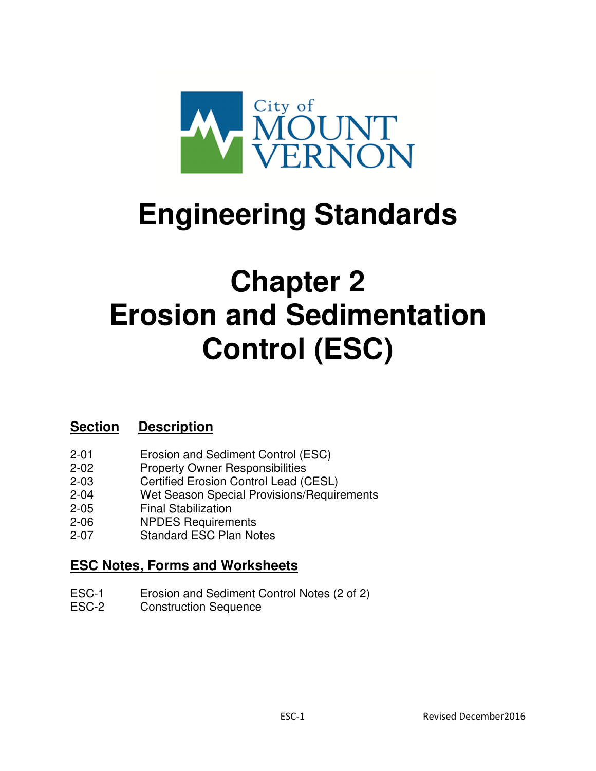

# **Engineering Standards**

## **Chapter 2 Erosion and Sedimentation Control (ESC)**

## **Section Description**

- 2-01 Erosion and Sediment Control (ESC)
- 2-02 Property Owner Responsibilities
- 2-03 Certified Erosion Control Lead (CESL)
- 2-04 Wet Season Special Provisions/Requirements
- 2-05 Final Stabilization
- 2-06 NPDES Requirements
- 2-07 Standard ESC Plan Notes

## **ESC Notes, Forms and Worksheets**

- ESC-1 Erosion and Sediment Control Notes (2 of 2)
- ESC-2 Construction Sequence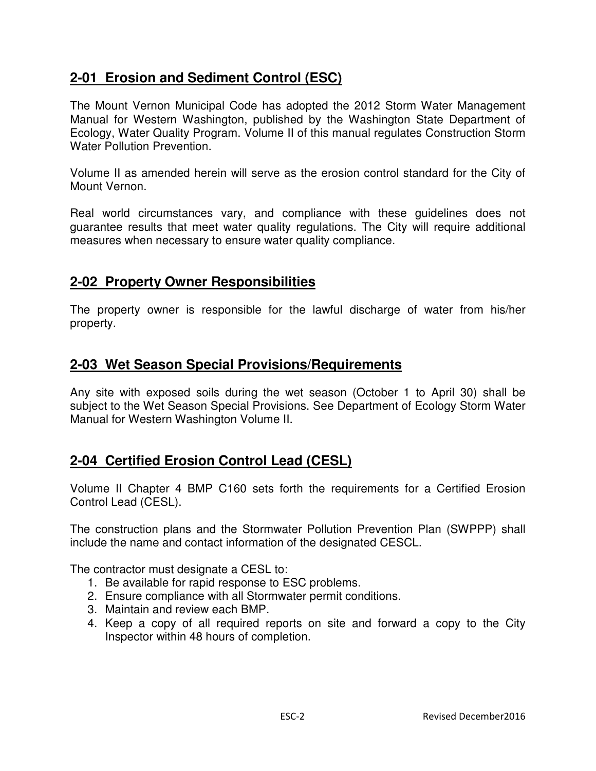## **2-01 Erosion and Sediment Control (ESC)**

The Mount Vernon Municipal Code has adopted the 2012 Storm Water Management Manual for Western Washington, published by the Washington State Department of Ecology, Water Quality Program. Volume II of this manual regulates Construction Storm Water Pollution Prevention.

Volume II as amended herein will serve as the erosion control standard for the City of Mount Vernon.

Real world circumstances vary, and compliance with these guidelines does not guarantee results that meet water quality regulations. The City will require additional measures when necessary to ensure water quality compliance.

#### **2-02 Property Owner Responsibilities**

The property owner is responsible for the lawful discharge of water from his/her property.

#### **2-03 Wet Season Special Provisions/Requirements**

Any site with exposed soils during the wet season (October 1 to April 30) shall be subject to the Wet Season Special Provisions. See Department of Ecology Storm Water Manual for Western Washington Volume II.

#### **2-04 Certified Erosion Control Lead (CESL)**

Volume II Chapter 4 BMP C160 sets forth the requirements for a Certified Erosion Control Lead (CESL).

The construction plans and the Stormwater Pollution Prevention Plan (SWPPP) shall include the name and contact information of the designated CESCL.

The contractor must designate a CESL to:

- 1. Be available for rapid response to ESC problems.
- 2. Ensure compliance with all Stormwater permit conditions.
- 3. Maintain and review each BMP.
- 4. Keep a copy of all required reports on site and forward a copy to the City Inspector within 48 hours of completion.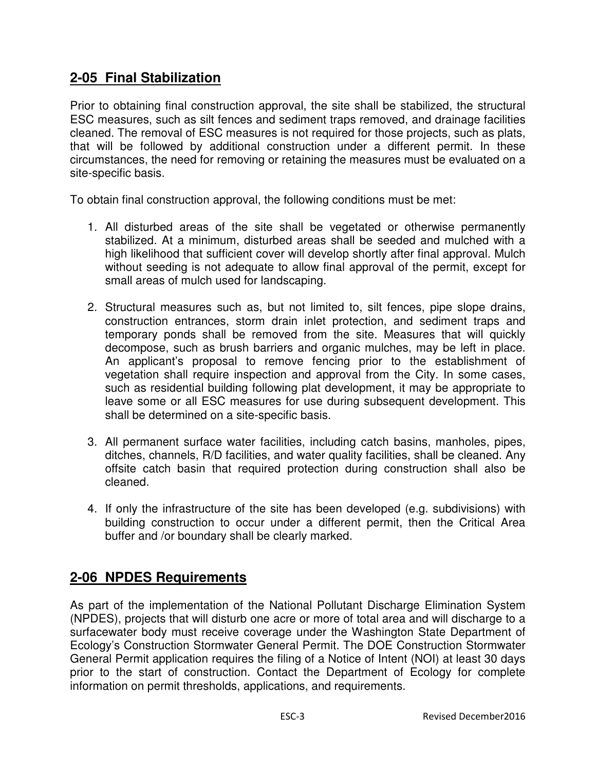## **2-05 Final Stabilization**

Prior to obtaining final construction approval, the site shall be stabilized, the structural ESC measures, such as silt fences and sediment traps removed, and drainage facilities cleaned. The removal of ESC measures is not required for those projects, such as plats, that will be followed by additional construction under a different permit. In these circumstances, the need for removing or retaining the measures must be evaluated on a site-specific basis.

To obtain final construction approval, the following conditions must be met:

- 1. All disturbed areas of the site shall be vegetated or otherwise permanently stabilized. At a minimum, disturbed areas shall be seeded and mulched with a high likelihood that sufficient cover will develop shortly after final approval. Mulch without seeding is not adequate to allow final approval of the permit, except for small areas of mulch used for landscaping.
- 2. Structural measures such as, but not limited to, silt fences, pipe slope drains, construction entrances, storm drain inlet protection, and sediment traps and temporary ponds shall be removed from the site. Measures that will quickly decompose, such as brush barriers and organic mulches, may be left in place. An applicant's proposal to remove fencing prior to the establishment of vegetation shall require inspection and approval from the City. In some cases, such as residential building following plat development, it may be appropriate to leave some or all ESC measures for use during subsequent development. This shall be determined on a site-specific basis.
- 3. All permanent surface water facilities, including catch basins, manholes, pipes, ditches, channels, R/D facilities, and water quality facilities, shall be cleaned. Any offsite catch basin that required protection during construction shall also be cleaned.
- 4. If only the infrastructure of the site has been developed (e.g. subdivisions) with building construction to occur under a different permit, then the Critical Area buffer and /or boundary shall be clearly marked.

## **2-06 NPDES Requirements**

As part of the implementation of the National Pollutant Discharge Elimination System (NPDES), projects that will disturb one acre or more of total area and will discharge to a surfacewater body must receive coverage under the Washington State Department of Ecology's Construction Stormwater General Permit. The DOE Construction Stormwater General Permit application requires the filing of a Notice of Intent (NOI) at least 30 days prior to the start of construction. Contact the Department of Ecology for complete information on permit thresholds, applications, and requirements.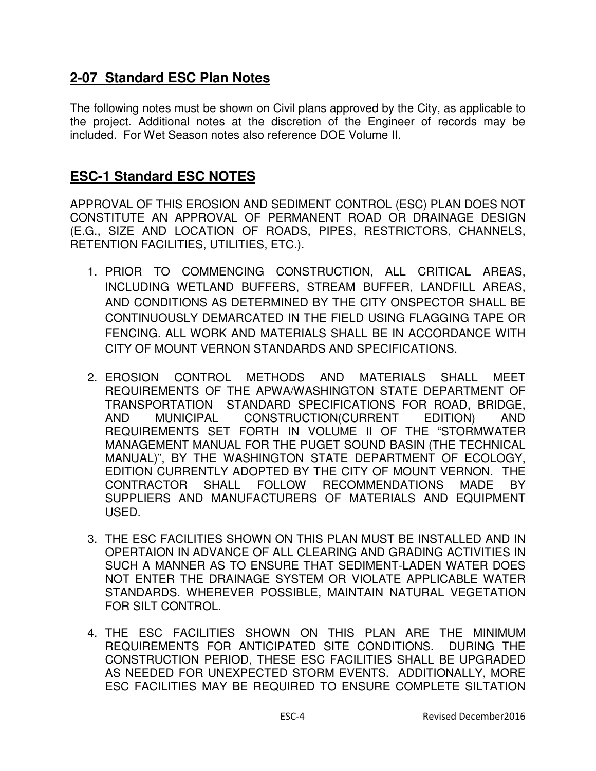#### **2-07 Standard ESC Plan Notes**

The following notes must be shown on Civil plans approved by the City, as applicable to the project. Additional notes at the discretion of the Engineer of records may be included. For Wet Season notes also reference DOE Volume II.

## **ESC-1 Standard ESC NOTES**

APPROVAL OF THIS EROSION AND SEDIMENT CONTROL (ESC) PLAN DOES NOT CONSTITUTE AN APPROVAL OF PERMANENT ROAD OR DRAINAGE DESIGN (E.G., SIZE AND LOCATION OF ROADS, PIPES, RESTRICTORS, CHANNELS, RETENTION FACILITIES, UTILITIES, ETC.).

- 1. PRIOR TO COMMENCING CONSTRUCTION, ALL CRITICAL AREAS, INCLUDING WETLAND BUFFERS, STREAM BUFFER, LANDFILL AREAS, AND CONDITIONS AS DETERMINED BY THE CITY ONSPECTOR SHALL BE CONTINUOUSLY DEMARCATED IN THE FIELD USING FLAGGING TAPE OR FENCING. ALL WORK AND MATERIALS SHALL BE IN ACCORDANCE WITH CITY OF MOUNT VERNON STANDARDS AND SPECIFICATIONS.
- 2. EROSION CONTROL METHODS AND MATERIALS SHALL MEET REQUIREMENTS OF THE APWA/WASHINGTON STATE DEPARTMENT OF TRANSPORTATION STANDARD SPECIFICATIONS FOR ROAD, BRIDGE, AND MUNICIPAL CONSTRUCTION(CURRENT EDITION) AND REQUIREMENTS SET FORTH IN VOLUME II OF THE "STORMWATER MANAGEMENT MANUAL FOR THE PUGET SOUND BASIN (THE TECHNICAL MANUAL)", BY THE WASHINGTON STATE DEPARTMENT OF ECOLOGY, EDITION CURRENTLY ADOPTED BY THE CITY OF MOUNT VERNON. THE CONTRACTOR SHALL FOLLOW RECOMMENDATIONS MADE BY SUPPLIERS AND MANUFACTURERS OF MATERIALS AND EQUIPMENT USED.
- 3. THE ESC FACILITIES SHOWN ON THIS PLAN MUST BE INSTALLED AND IN OPERTAION IN ADVANCE OF ALL CLEARING AND GRADING ACTIVITIES IN SUCH A MANNER AS TO ENSURE THAT SEDIMENT-LADEN WATER DOES NOT ENTER THE DRAINAGE SYSTEM OR VIOLATE APPLICABLE WATER STANDARDS. WHEREVER POSSIBLE, MAINTAIN NATURAL VEGETATION FOR SILT CONTROL.
- 4. THE ESC FACILITIES SHOWN ON THIS PLAN ARE THE MINIMUM REQUIREMENTS FOR ANTICIPATED SITE CONDITIONS. DURING THE CONSTRUCTION PERIOD, THESE ESC FACILITIES SHALL BE UPGRADED AS NEEDED FOR UNEXPECTED STORM EVENTS. ADDITIONALLY, MORE ESC FACILITIES MAY BE REQUIRED TO ENSURE COMPLETE SILTATION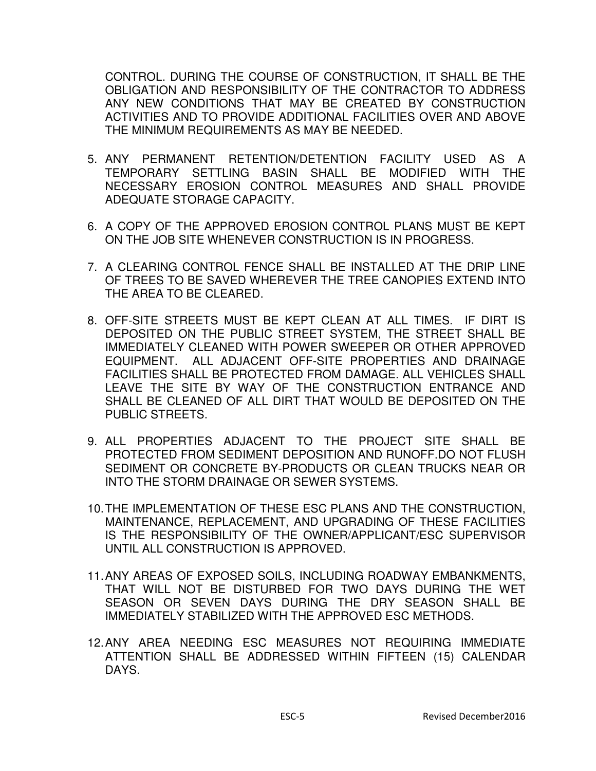CONTROL. DURING THE COURSE OF CONSTRUCTION, IT SHALL BE THE OBLIGATION AND RESPONSIBILITY OF THE CONTRACTOR TO ADDRESS ANY NEW CONDITIONS THAT MAY BE CREATED BY CONSTRUCTION ACTIVITIES AND TO PROVIDE ADDITIONAL FACILITIES OVER AND ABOVE THE MINIMUM REQUIREMENTS AS MAY BE NEEDED.

- 5. ANY PERMANENT RETENTION/DETENTION FACILITY USED AS A TEMPORARY SETTLING BASIN SHALL BE MODIFIED WITH THE NECESSARY EROSION CONTROL MEASURES AND SHALL PROVIDE ADEQUATE STORAGE CAPACITY.
- 6. A COPY OF THE APPROVED EROSION CONTROL PLANS MUST BE KEPT ON THE JOB SITE WHENEVER CONSTRUCTION IS IN PROGRESS.
- 7. A CLEARING CONTROL FENCE SHALL BE INSTALLED AT THE DRIP LINE OF TREES TO BE SAVED WHEREVER THE TREE CANOPIES EXTEND INTO THE AREA TO BE CLEARED.
- 8. OFF-SITE STREETS MUST BE KEPT CLEAN AT ALL TIMES. IF DIRT IS DEPOSITED ON THE PUBLIC STREET SYSTEM, THE STREET SHALL BE IMMEDIATELY CLEANED WITH POWER SWEEPER OR OTHER APPROVED EQUIPMENT. ALL ADJACENT OFF-SITE PROPERTIES AND DRAINAGE FACILITIES SHALL BE PROTECTED FROM DAMAGE. ALL VEHICLES SHALL LEAVE THE SITE BY WAY OF THE CONSTRUCTION ENTRANCE AND SHALL BE CLEANED OF ALL DIRT THAT WOULD BE DEPOSITED ON THE PUBLIC STREETS.
- 9. ALL PROPERTIES ADJACENT TO THE PROJECT SITE SHALL BE PROTECTED FROM SEDIMENT DEPOSITION AND RUNOFF.DO NOT FLUSH SEDIMENT OR CONCRETE BY-PRODUCTS OR CLEAN TRUCKS NEAR OR INTO THE STORM DRAINAGE OR SEWER SYSTEMS.
- 10. THE IMPLEMENTATION OF THESE ESC PLANS AND THE CONSTRUCTION, MAINTENANCE, REPLACEMENT, AND UPGRADING OF THESE FACILITIES IS THE RESPONSIBILITY OF THE OWNER/APPLICANT/ESC SUPERVISOR UNTIL ALL CONSTRUCTION IS APPROVED.
- 11. ANY AREAS OF EXPOSED SOILS, INCLUDING ROADWAY EMBANKMENTS, THAT WILL NOT BE DISTURBED FOR TWO DAYS DURING THE WET SEASON OR SEVEN DAYS DURING THE DRY SEASON SHALL BE IMMEDIATELY STABILIZED WITH THE APPROVED ESC METHODS.
- 12. ANY AREA NEEDING ESC MEASURES NOT REQUIRING IMMEDIATE ATTENTION SHALL BE ADDRESSED WITHIN FIFTEEN (15) CALENDAR DAYS.